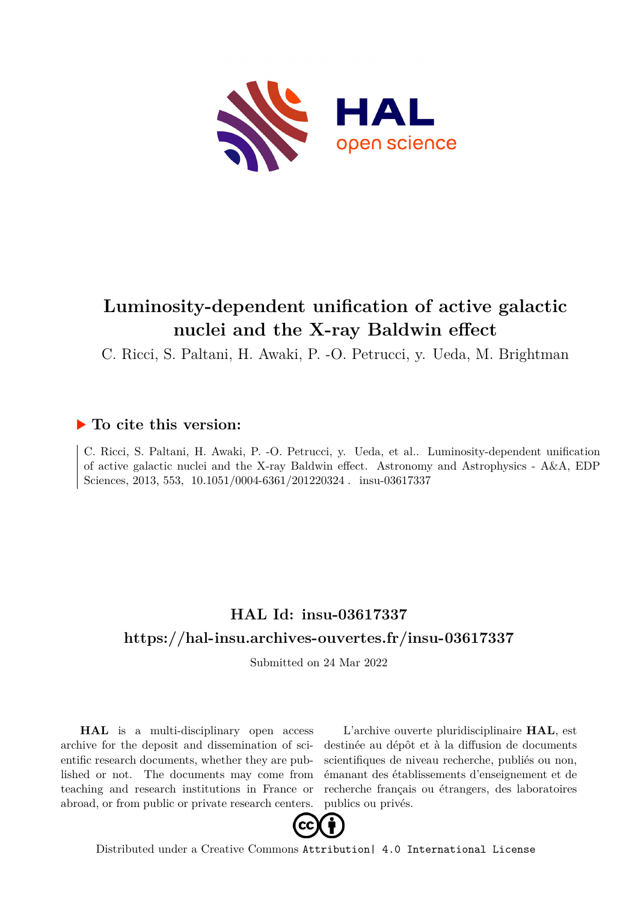

# **Luminosity-dependent unification of active galactic nuclei and the X-ray Baldwin effect**

C. Ricci, S. Paltani, H. Awaki, P. -O. Petrucci, y. Ueda, M. Brightman

### **To cite this version:**

C. Ricci, S. Paltani, H. Awaki, P. -O. Petrucci, y. Ueda, et al.. Luminosity-dependent unification of active galactic nuclei and the X-ray Baldwin effect. Astronomy and Astrophysics - A&A, EDP Sciences, 2013, 553,  $10.1051/0004-6361/201220324$ . insu-03617337

## **HAL Id: insu-03617337 <https://hal-insu.archives-ouvertes.fr/insu-03617337>**

Submitted on 24 Mar 2022

**HAL** is a multi-disciplinary open access archive for the deposit and dissemination of scientific research documents, whether they are published or not. The documents may come from teaching and research institutions in France or abroad, or from public or private research centers.

L'archive ouverte pluridisciplinaire **HAL**, est destinée au dépôt et à la diffusion de documents scientifiques de niveau recherche, publiés ou non, émanant des établissements d'enseignement et de recherche français ou étrangers, des laboratoires publics ou privés.



Distributed under a Creative Commons [Attribution| 4.0 International License](http://creativecommons.org/licenses/by/4.0/)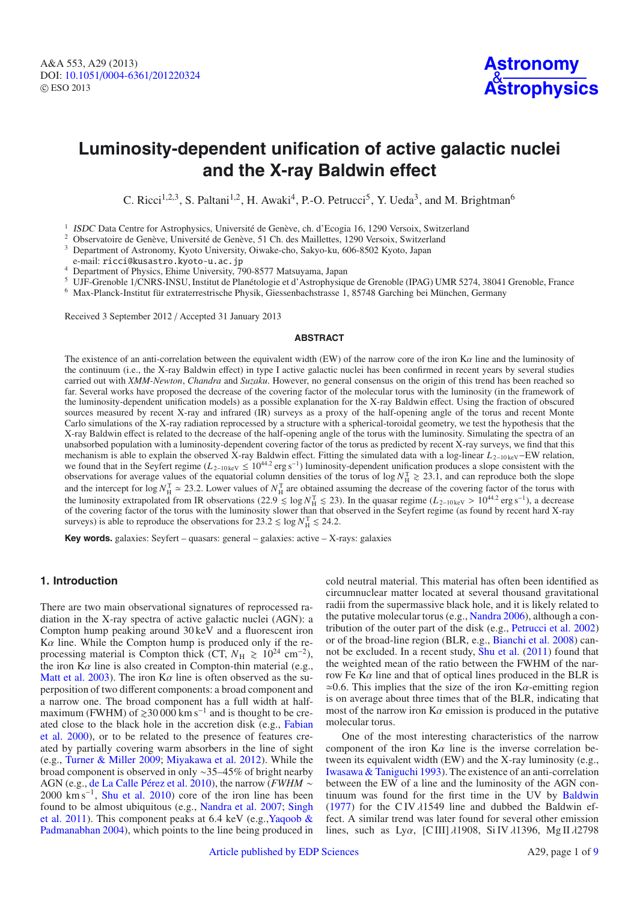### **Luminosity-dependent unification of active galactic nuclei and the X-ray Baldwin effect**

C. Ricci<sup>1,2,3</sup>, S. Paltani<sup>1,2</sup>, H. Awaki<sup>4</sup>, P.-O. Petrucci<sup>5</sup>, Y. Ueda<sup>3</sup>, and M. Brightman<sup>6</sup>

<sup>1</sup> ISDC Data Centre for Astrophysics, Université de Genève, ch. d'Ecogia 16, 1290 Versoix, Switzerland

<sup>2</sup> Observatoire de Genève, Université de Genève, 51 Ch. des Maillettes, 1290 Versoix, Switzerland

<sup>3</sup> Department of Astronomy, Kyoto University, Oiwake-cho, Sakyo-ku, 606-8502 Kyoto, Japan

e-mail: ricci@kusastro.kyoto-u.ac.jp

<sup>4</sup> Department of Physics, Ehime University, 790-8577 Matsuyama, Japan

<sup>5</sup> UJF-Grenoble 1/CNRS-INSU, Institut de Planétologie et d'Astrophysique de Grenoble (IPAG) UMR 5274, 38041 Grenoble, France 6 Max-Planck-Institut für extraterrestrische Physik, Giessenbachstrasse 1, 85748 Garching bei Mü

Received 3 September 2012 / Accepted 31 January 2013

#### **ABSTRACT**

The existence of an anti-correlation between the equivalent width (EW) of the narrow core of the iron  $K\alpha$  line and the luminosity of the continuum (i.e., the X-ray Baldwin effect) in type I active galactic nuclei has been confirmed in recent years by several studies carried out with *XMM-Newton*, *Chandra* and *Suzaku*. However, no general consensus on the origin of this trend has been reached so far. Several works have proposed the decrease of the covering factor of the molecular torus with the luminosity (in the framework of the luminosity-dependent unification models) as a possible explanation for the X-ray Baldwin effect. Using the fraction of obscured sources measured by recent X-ray and infrared (IR) surveys as a proxy of the half-opening angle of the torus and recent Monte Carlo simulations of the X-ray radiation reprocessed by a structure with a spherical-toroidal geometry, we test the hypothesis that the X-ray Baldwin effect is related to the decrease of the half-opening angle of the torus with the luminosity. Simulating the spectra of an unabsorbed population with a luminosity-dependent covering factor of the torus as predicted by recent X-ray surveys, we find that this mechanism is able to explain the observed X-ray Baldwin effect. Fitting the simulated data with a log-linear *L*<sub>2−10 keV</sub>–EW relation, we found that in the Seyfert regime ( $L_{2-10 \text{ keV}} \le 10^{44.2}$  erg s<sup>-1</sup>) luminosity-dependent unification produces a slope consistent with the observations for average values of the equatorial column densities of the torus of  $\log N_H^T \gtrsim 23.1$ , and can reproduce both the slope and the intercept for  $\log N_H^{\text{T}} \approx 23.2$ . Lower values of  $N_H^{\text{T}}$  are obtained assuming the decrease of the covering factor of the torus with the luminosity extrapolated from IR observations (22.9 ≤ log  $N_H^T$  ≤ 23). In the quasar regime ( $L_{2-10 \text{ keV}} > 10^{44.2}$  erg s<sup>-1</sup>), a decrease of the covering factor of the torus with the luminosity slower than that observed in the Seyfert regime (as found by recent hard X-ray surveys) is able to reproduce the observations for  $23.2 \le \log N_H^{\rm T} \le 24.2$ .

**Key words.** galaxies: Seyfert – quasars: general – galaxies: active – X-rays: galaxies

#### **1. Introduction**

There are two main observational signatures of reprocessed radiation in the X-ray spectra of active galactic nuclei (AGN): a Compton hump peaking around 30 keV and a fluorescent iron  $K\alpha$  line. While the Compton hump is produced only if the reprocessing material is Compton thick (CT,  $N_{\rm H} \ge 10^{24}$  cm<sup>-2</sup>), the iron  $K\alpha$  line is also created in Compton-thin material (e.g., Matt et al. 2003). The iron  $K\alpha$  line is often observed as the superposition of two different components: a broad component and a narrow one. The broad component has a full width at halfmaximum (FWHM) of  $\geq 30000$  km s<sup>-1</sup> and is thought to be created close to the black hole in the accretion disk (e.g., Fabian et al. 2000), or to be related to the presence of features created by partially covering warm absorbers in the line of sight (e.g., Turner & Miller 2009; Miyakawa et al. 2012). While the broad component is observed in only ∼35–45% of bright nearby AGN (e.g., de La Calle Pérez et al. 2010), the narrow (*FWHM* ∼  $2000 \text{ km s}^{-1}$ , Shu et al. 2010) core of the iron line has been found to be almost ubiquitous (e.g., Nandra et al. 2007; Singh et al. 2011). This component peaks at 6.4 keV (e.g.,Yaqoob & Padmanabhan 2004), which points to the line being produced in cold neutral material. This material has often been identified as circumnuclear matter located at several thousand gravitational radii from the supermassive black hole, and it is likely related to the putative molecular torus (e.g., Nandra 2006), although a contribution of the outer part of the disk (e.g., Petrucci et al. 2002) or of the broad-line region (BLR, e.g., Bianchi et al. 2008) cannot be excluded. In a recent study, Shu et al. (2011) found that the weighted mean of the ratio between the FWHM of the narrow Fe  $K\alpha$  line and that of optical lines produced in the BLR is  $\approx 0.6$ . This implies that the size of the iron K $\alpha$ -emitting region is on average about three times that of the BLR, indicating that most of the narrow iron  $K\alpha$  emission is produced in the putative molecular torus.

One of the most interesting characteristics of the narrow component of the iron  $K\alpha$  line is the inverse correlation between its equivalent width (EW) and the X-ray luminosity (e.g., Iwasawa & Taniguchi 1993). The existence of an anti-correlation between the EW of a line and the luminosity of the AGN continuum was found for the first time in the UV by Baldwin (1977) for the CIV  $\lambda$ 1549 line and dubbed the Baldwin effect. A similar trend was later found for several other emission lines, such as Lyα, [C III] λ1908, Si IV λ1396, Mg II λ2798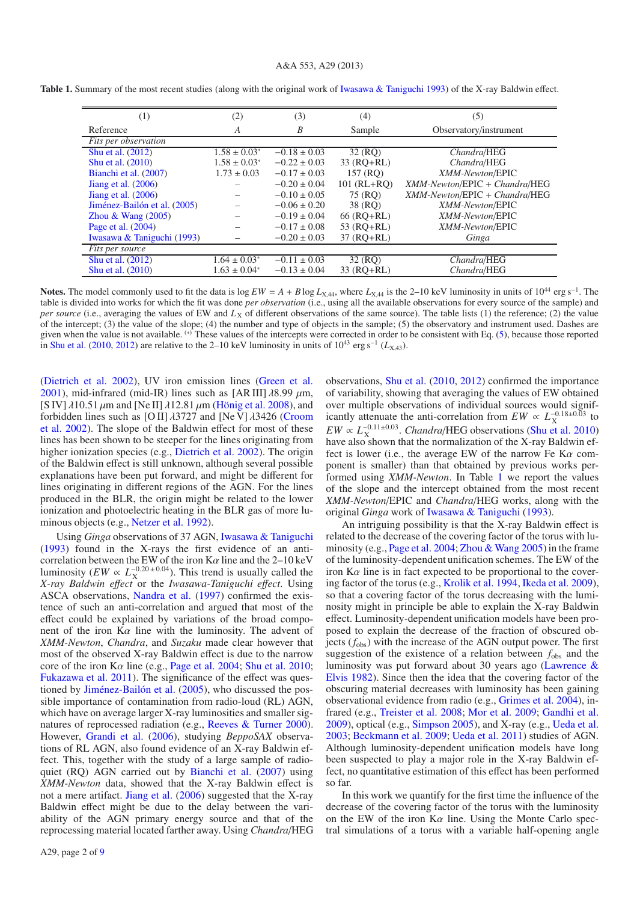#### A&A 553, A29 (2013)

| (1)                          | (2)               | (3)              | (4)           | (5)                                    |
|------------------------------|-------------------|------------------|---------------|----------------------------------------|
| Reference                    | A                 | B                | Sample        | Observatory/instrument                 |
| Fits per observation         |                   |                  |               |                                        |
| Shu et al. (2012)            | $1.58 \pm 0.03^*$ | $-0.18 \pm 0.03$ | 32(RO)        | Chandra/HEG                            |
| Shu et al. (2010)            | $1.58 \pm 0.03^*$ | $-0.22 \pm 0.03$ | $33 (RO+RL)$  | Chandra/HEG                            |
| Bianchi et al. (2007)        | $1.73 \pm 0.03$   | $-0.17 \pm 0.03$ | 157 (RO)      | XMM-Newton/EPIC                        |
| Jiang et al. $(2006)$        |                   | $-0.20 \pm 0.04$ | $101$ (RL+RO) | $XMM\text{-}Newton/EPIC + Chandra/HEG$ |
| Jiang et al. $(2006)$        |                   | $-0.10 \pm 0.05$ | 75 (RO)       | $XMM\text{-}Newton/EPIC + Chandra/HEG$ |
| Jiménez-Bailón et al. (2005) |                   | $-0.06 \pm 0.20$ | 38 (RO)       | XMM-Newton/EPIC                        |
| Zhou & Wang $(2005)$         |                   | $-0.19 \pm 0.04$ | $66$ (RO+RL)  | XMM-Newton/EPIC                        |
| Page et al. (2004)           |                   | $-0.17 \pm 0.08$ | $53$ (RO+RL)  | XMM-Newton/EPIC                        |
| Iwasawa & Taniguchi (1993)   |                   | $-0.20 \pm 0.03$ | $37 (RO+RL)$  | Ginga                                  |
| Fits per source              |                   |                  |               |                                        |
| Shu et al. (2012)            | $1.64 \pm 0.03^*$ | $-0.11 \pm 0.03$ | 32(RQ)        | Chandra/HEG                            |
| Shu et al. (2010)            | $1.63 \pm 0.04^*$ | $-0.13 \pm 0.04$ | $33$ (RO+RL)  | Chandra/HEG                            |

**Table 1.** Summary of the most recent studies (along with the original work of Iwasawa & Taniguchi 1993) of the X-ray Baldwin effect.

Notes. The model commonly used to fit the data is  $\log EW = A + B \log L_{\rm X,44}$ , where  $L_{\rm X,44}$  is the 2–10 keV luminosity in units of 10<sup>44</sup> erg s<sup>-1</sup>. The table is divided into works for which the fit was done *per observation* (i.e., using all the available observations for every source of the sample) and *per source* (i.e., averaging the values of EW and  $L<sub>X</sub>$  of different observations of the same source). The table lists (1) the reference; (2) the value of the intercept; (3) the value of the slope; (4) the number and type of objects in the sample; (5) the observatory and instrument used. Dashes are given when the value is not available. <sup>(\*)</sup> These values of the intercepts were corrected in order to be consistent with Eq. (5), because those reported in Shu et al. (2010, 2012) are relative to the 2–10 keV luminosity in units of  $10^{43}$  erg s<sup>-1</sup> (*L*<sub>X,43</sub>).

(Dietrich et al. 2002), UV iron emission lines (Green et al. 2001), mid-infrared (mid-IR) lines such as [AR III]  $\lambda$ 8.99  $\mu$ m, [S IV]  $\lambda$ 10.51  $\mu$ m and [Ne II]  $\lambda$ 12.81  $\mu$ m (Hönig et al. 2008), and forbidden lines such as [O II]  $\lambda$ 3727 and [Ne V]  $\lambda$ 3426 (Croom et al. 2002). The slope of the Baldwin effect for most of these lines has been shown to be steeper for the lines originating from higher ionization species (e.g., Dietrich et al. 2002). The origin of the Baldwin effect is still unknown, although several possible explanations have been put forward, and might be different for lines originating in different regions of the AGN. For the lines produced in the BLR, the origin might be related to the lower ionization and photoelectric heating in the BLR gas of more luminous objects (e.g., Netzer et al. 1992).

Using *Ginga* observations of 37 AGN, Iwasawa & Taniguchi (1993) found in the X-rays the first evidence of an anticorrelation between the EW of the iron  $K\alpha$  line and the 2–10 keV luminosity (*EW*  $\propto L_{\rm X}^{-0.20 \pm 0.04}$ ). This trend is usually called the *X-ray Baldwin e*ff*ect* or the *Iwasawa-Taniguchi e*ff*ect*. Using ASCA observations, Nandra et al. (1997) confirmed the existence of such an anti-correlation and argued that most of the effect could be explained by variations of the broad component of the iron  $K\alpha$  line with the luminosity. The advent of *XMM-Newton*, *Chandra*, and *Suzaku* made clear however that most of the observed X-ray Baldwin effect is due to the narrow core of the iron K $\alpha$  line (e.g., Page et al. 2004; Shu et al. 2010; Fukazawa et al. 2011). The significance of the effect was questioned by Jiménez-Bailón et al. (2005), who discussed the possible importance of contamination from radio-loud (RL) AGN, which have on average larger X-ray luminosities and smaller signatures of reprocessed radiation (e.g., Reeves & Turner 2000). However, Grandi et al. (2006), studying *BeppoSAX* observations of RL AGN, also found evidence of an X-ray Baldwin effect. This, together with the study of a large sample of radioquiet (RQ) AGN carried out by Bianchi et al. (2007) using *XMM-Newton* data, showed that the X-ray Baldwin effect is not a mere artifact. Jiang et al. (2006) suggested that the X-ray Baldwin effect might be due to the delay between the variability of the AGN primary energy source and that of the reprocessing material located farther away. Using *Chandra*/HEG observations, Shu et al. (2010, 2012) confirmed the importance of variability, showing that averaging the values of EW obtained over multiple observations of individual sources would significantly attenuate the anti-correlation from  $EW \propto L_{\rm X}^{-0.18 \pm 0.03}$  to  $EW \propto L_{\rm X}^{-0.11\pm0.03}$ . *Chandra*/HEG observations (Shu et al. 2010) have also shown that the normalization of the X-ray Baldwin effect is lower (i.e., the average EW of the narrow Fe K $\alpha$  component is smaller) than that obtained by previous works performed using *XMM-Newton*. In Table 1 we report the values of the slope and the intercept obtained from the most recent *XMM-Newton*/EPIC and *Chandra*/HEG works, along with the original *Ginga* work of Iwasawa & Taniguchi (1993).

An intriguing possibility is that the X-ray Baldwin effect is related to the decrease of the covering factor of the torus with luminosity (e.g., Page et al. 2004; Zhou & Wang 2005) in the frame of the luminosity-dependent unification schemes. The EW of the iron  $K\alpha$  line is in fact expected to be proportional to the covering factor of the torus (e.g., Krolik et al. 1994, Ikeda et al. 2009), so that a covering factor of the torus decreasing with the luminosity might in principle be able to explain the X-ray Baldwin effect. Luminosity-dependent unification models have been proposed to explain the decrease of the fraction of obscured objects (*f*obs) with the increase of the AGN output power. The first suggestion of the existence of a relation between *f*obs and the luminosity was put forward about 30 years ago (Lawrence & Elvis 1982). Since then the idea that the covering factor of the obscuring material decreases with luminosity has been gaining observational evidence from radio (e.g., Grimes et al. 2004), infrared (e.g., Treister et al. 2008; Mor et al. 2009; Gandhi et al. 2009), optical (e.g., Simpson 2005), and X-ray (e.g., Ueda et al. 2003; Beckmann et al. 2009; Ueda et al. 2011) studies of AGN. Although luminosity-dependent unification models have long been suspected to play a major role in the X-ray Baldwin effect, no quantitative estimation of this effect has been performed so far.

In this work we quantify for the first time the influence of the decrease of the covering factor of the torus with the luminosity on the EW of the iron  $K\alpha$  line. Using the Monte Carlo spectral simulations of a torus with a variable half-opening angle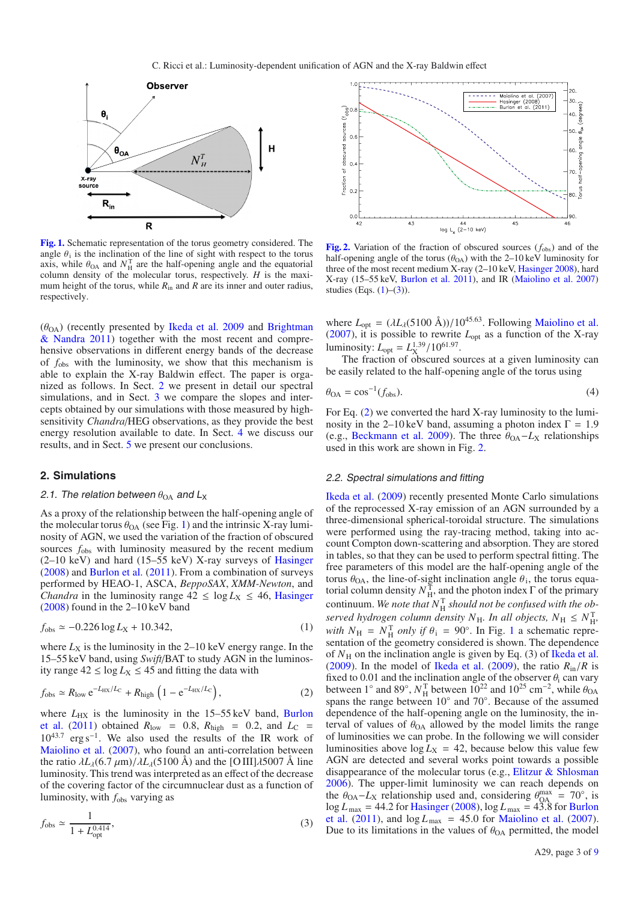

**[Fig. 1.](http://dexter.edpsciences.org/applet.php?DOI=10.1051/0004-6361/201220324&pdf_id=1)** Schematic representation of the torus geometry considered. The angle  $\theta_i$  is the inclination of the line of sight with respect to the torus axis, while  $\theta_{OA}$  and  $N_{H}^{T}$  are the half-opening angle and the equatorial column density of the molecular torus, respectively. *H* is the maximum height of the torus, while  $R_{\text{in}}$  and  $R$  are its inner and outer radius, respectively.

 $(\theta_{OA})$  (recently presented by Ikeda et al. 2009 and Brightman & Nandra 2011) together with the most recent and comprehensive observations in different energy bands of the decrease of *f*obs with the luminosity, we show that this mechanism is able to explain the X-ray Baldwin effect. The paper is organized as follows. In Sect. 2 we present in detail our spectral simulations, and in Sect. 3 we compare the slopes and intercepts obtained by our simulations with those measured by highsensitivity *Chandra*/HEG observations, as they provide the best energy resolution available to date. In Sect. 4 we discuss our results, and in Sect. 5 we present our conclusions.

#### **2. Simulations**

#### 2.1. The relation between  $\theta_{OA}$  and  $L_X$

As a proxy of the relationship between the half-opening angle of the molecular torus  $\theta_{OA}$  (see Fig. 1) and the intrinsic X-ray luminosity of AGN, we used the variation of the fraction of obscured sources  $f_{\text{obs}}$  with luminosity measured by the recent medium  $(2-10 \text{ keV})$  and hard  $(15-55 \text{ keV})$  X-ray surveys of Hasinger (2008) and Burlon et al. (2011). From a combination of surveys performed by HEAO-1, ASCA, *BeppoSAX*, *XMM-Newton*, and *Chandra* in the luminosity range  $42 \le \log L_X \le 46$ , Hasinger (2008) found in the 2–10 keV band

$$
f_{\rm obs} \simeq -0.226 \log L_{\rm X} + 10.342,\tag{1}
$$

where  $L_X$  is the luminosity in the 2–10 keV energy range. In the 15–55 keV band, using *Swift*/BAT to study AGN in the luminosity range  $42 \le \log L_X \le 45$  and fitting the data with

$$
f_{\rm obs} \simeq R_{\rm low} \,\mathrm{e}^{-L_{\rm HX}/L_{\rm C}} + R_{\rm high} \left(1 - \mathrm{e}^{-L_{\rm HX}/L_{\rm C}}\right),\tag{2}
$$

where  $L_{\text{HX}}$  is the luminosity in the 15–55 keV band, Burlon et al. (2011) obtained  $R_{\text{low}} = 0.8$ ,  $R_{\text{high}} = 0.2$ , and  $L_{\text{C}} =$ 10<sup>43</sup>.<sup>7</sup> erg s−1. We also used the results of the IR work of Maiolino et al. (2007), who found an anti-correlation between the ratio  $\lambda L_{\lambda}$ (6.7  $\mu$ m)/ $\lambda L_{\lambda}$ (5100 Å) and the [O III] $\lambda$ 5007 Å line luminosity. This trend was interpreted as an effect of the decrease of the covering factor of the circumnuclear dust as a function of luminosity, with *f*obs varying as

$$
f_{\rm obs} \simeq \frac{1}{1 + L_{\rm opt}^{0.414}},\tag{3}
$$



[Fig. 2.](http://dexter.edpsciences.org/applet.php?DOI=10.1051/0004-6361/201220324&pdf_id=2) Variation of the fraction of obscured sources ( $f_{\text{obs}}$ ) and of the half-opening angle of the torus ( $\theta_{OA}$ ) with the 2–10 keV luminosity for three of the most recent medium X-ray (2–10 keV, Hasinger 2008), hard X-ray (15–55 keV, Burlon et al. 2011), and IR (Maiolino et al. 2007) studies (Eqs.  $(1)–(3)$ ).

where  $L_{opt} = (\lambda L_A(5100 \text{ Å})) / 10^{45.63}$ . Following **Maiolino et al.**  $(2007)$ , it is possible to rewrite  $L_{opt}$  as a function of the X-ray luminosity:  $L_{opt} = L_{X}^{1.39} / 10^{61.97}$ .

The fraction of obscured sources at a given luminosity can be easily related to the half-opening angle of the torus using

$$
\theta_{\text{OA}} = \cos^{-1}(f_{\text{obs}}). \tag{4}
$$

For Eq. (2) we converted the hard X-ray luminosity to the luminosity in the 2–10 keV band, assuming a photon index  $\Gamma = 1.9$ (e.g., Beckmann et al. 2009). The three  $\theta_{OA} - L_X$  relationships used in this work are shown in Fig. 2.

#### 2.2. Spectral simulations and fitting

Ikeda et al. (2009) recently presented Monte Carlo simulations of the reprocessed X-ray emission of an AGN surrounded by a three-dimensional spherical-toroidal structure. The simulations were performed using the ray-tracing method, taking into account Compton down-scattering and absorption. They are stored in tables, so that they can be used to perform spectral fitting. The free parameters of this model are the half-opening angle of the torus  $\theta_{OA}$ , the line-of-sight inclination angle  $\theta_i$ , the torus equatorial column density  $N_{\rm H}^{\rm T}$ , and the photon index  $\Gamma$  of the primary continuum. We note that  $N_{\rm H}^{\rm T}$  *should not be confused with the observed hydrogen column density*  $N_{\rm H}$ *. In all objects,*  $N_{\rm H} \leq N_{\rm H}^{\rm T}$ , *with*  $N_{\rm H}$  =  $N_{\rm H}^{\rm T}$  *only if*  $\theta_{\rm i}$  = 90°. In Fig. 1 a schematic representation of the geometry considered is shown. The dependence of  $N_H$  on the inclination angle is given by Eq. (3) of Ikeda et al. (2009). In the model of Ikeda et al. (2009), the ratio  $R_{\text{in}}/R$  is fixed to 0.01 and the inclination angle of the observer  $\theta_i$  can vary between 1<sup>°</sup> and 89<sup>°</sup>,  $N_H^T$  between 10<sup>22</sup> and 10<sup>25</sup> cm<sup>-2</sup>, while  $\theta_{OA}$ spans the range between 10° and 70°. Because of the assumed dependence of the half-opening angle on the luminosity, the interval of values of  $\theta_{OA}$  allowed by the model limits the range of luminosities we can probe. In the following we will consider luminosities above  $\log L_X = 42$ , because below this value few AGN are detected and several works point towards a possible disappearance of the molecular torus (e.g., Elitzur & Shlosman 2006). The upper-limit luminosity we can reach depends on the  $\theta_{\text{OA}} - L_{\text{X}}$  relationship used and, considering  $\theta_{\text{OA}}^{\text{max}} = 70^{\circ}$ , is  $\log L_{\text{max}} = 44.2$  for Hasinger (2008),  $\log L_{\text{max}} = 43.8$  for Burlon et al. (2011), and  $\log L_{\text{max}} = 45.0$  for Maiolino et al. (2007). Due to its limitations in the values of  $\theta_{OA}$  permitted, the model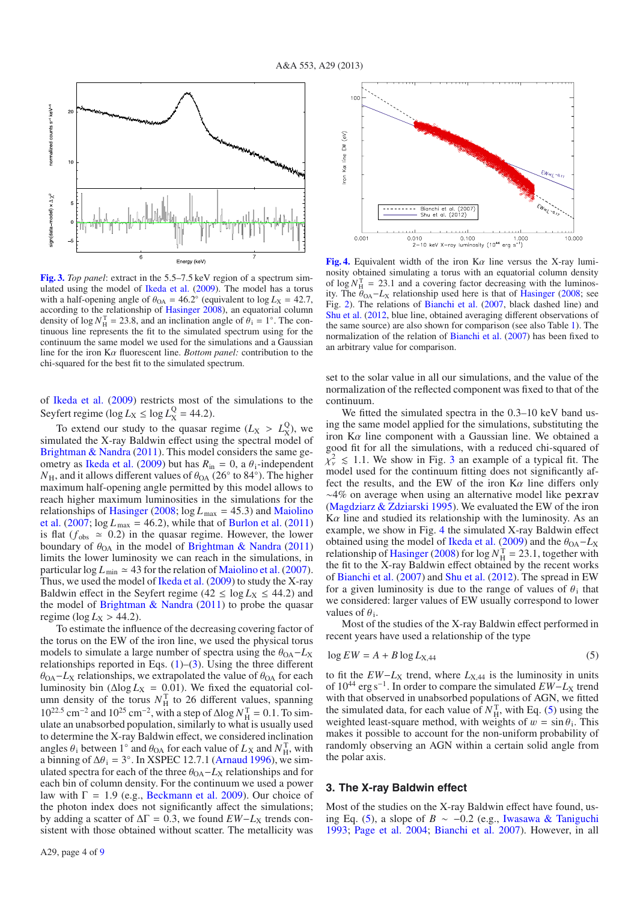

**[Fig. 3.](http://dexter.edpsciences.org/applet.php?DOI=10.1051/0004-6361/201220324&pdf_id=3)** *Top panel*: extract in the 5.5–7.5 keV region of a spectrum simulated using the model of Ikeda et al. (2009). The model has a torus with a half-opening angle of  $\theta_{OA} = 46.2^\circ$  (equivalent to  $\log L_X = 42.7$ , according to the relationship of Hasinger 2008), an equatorial column density of log  $N_{\rm H}^{\rm T} = 23.8$ , and an inclination angle of  $\theta_{\rm i} = 1^\circ$ . The continuous line represents the fit to the simulated spectrum using for the continuum the same model we used for the simulations and a Gaussian line for the iron Kα fluorescent line. *Bottom panel:* contribution to the chi-squared for the best fit to the simulated spectrum.

of Ikeda et al. (2009) restricts most of the simulations to the Seyfert regime ( $\log L_X \leq \log L_X^Q = 44.2$ ).

To extend our study to the quasar regime  $(L_X > L_X^Q)$ , we simulated the X-ray Baldwin effect using the spectral model of Brightman & Nandra (2011). This model considers the same geometry as Ikeda et al. (2009) but has  $R_{\text{in}} = 0$ , a  $\theta_1$ -independent  $N_{\rm H}$ , and it allows different values of  $\theta_{\rm OA}$  (26° to 84°). The higher maximum half-opening angle permitted by this model allows to reach higher maximum luminosities in the simulations for the relationships of Hasinger (2008;  $log L_{max} = 45.3$ ) and Maiolino et al.  $(2007; \log L_{\text{max}} = 46.2)$ , while that of Burlon et al.  $(2011)$ is flat ( $f_{obs} \approx 0.2$ ) in the quasar regime. However, the lower boundary of  $\theta_{OA}$  in the model of Brightman & Nandra (2011) limits the lower luminosity we can reach in the simulations, in particular  $\log L_{\text{min}} \approx 43$  for the relation of Maiolino et al. (2007). Thus, we used the model of Ikeda et al. (2009) to study the X-ray Baldwin effect in the Seyfert regime ( $42 \le \log L_X \le 44.2$ ) and the model of Brightman  $\&$  Nandra (2011) to probe the quasar regime ( $log L_X > 44.2$ ).

To estimate the influence of the decreasing covering factor of the torus on the EW of the iron line, we used the physical torus models to simulate a large number of spectra using the  $\theta_{OA} - L_X$ relationships reported in Eqs. (1)–(3). Using the three different  $\theta_{OA}$ −*L*<sub>X</sub> relationships, we extrapolated the value of  $\theta_{OA}$  for each luminosity bin ( $\Delta$ log  $L_X$  = 0.01). We fixed the equatorial column density of the torus  $N_{\rm H}^{\rm T}$  to 26 different values, spanning  $10^{22.5}$  cm<sup>-2</sup> and  $10^{25}$  cm<sup>-2</sup>, with a step of  $\Delta$ log  $N_{\rm H}^{\rm T} = 0.1$ . To simulate an unabsorbed population, similarly to what is usually used to determine the X-ray Baldwin effect, we considered inclination angles  $\theta_i$  between 1<sup>°</sup> and  $\theta_{OA}$  for each value of  $L_X$  and  $N_H^T$ , with a binning of  $\Delta\theta_i = 3^\circ$ . In XSPEC 12.7.1 (Arnaud 1996), we simulated spectra for each of the three  $\theta_{OA} - L_X$  relationships and for each bin of column density. For the continuum we used a power law with  $\Gamma = 1.9$  (e.g., Beckmann et al. 2009). Our choice of the photon index does not significantly affect the simulations; by adding a scatter of  $\Delta\Gamma = 0.3$ , we found  $EW - L_X$  trends consistent with those obtained without scatter. The metallicity was



**[Fig. 4.](http://dexter.edpsciences.org/applet.php?DOI=10.1051/0004-6361/201220324&pdf_id=4)** Equivalent width of the iron  $K\alpha$  line versus the X-ray luminosity obtained simulating a torus with an equatorial column density of  $\log N_H^{\text{T}} = 23.1$  and a covering factor decreasing with the luminosity. The  $\theta_{OA}$ – $L_X$  relationship used here is that of Hasinger (2008; see Fig. 2). The relations of Bianchi et al. (2007, black dashed line) and Shu et al. (2012, blue line, obtained averaging different observations of the same source) are also shown for comparison (see also Table 1). The normalization of the relation of Bianchi et al. (2007) has been fixed to an arbitrary value for comparison.

set to the solar value in all our simulations, and the value of the normalization of the reflected component was fixed to that of the continuum.

We fitted the simulated spectra in the 0.3–10 keV band using the same model applied for the simulations, substituting the iron  $K\alpha$  line component with a Gaussian line. We obtained a good fit for all the simulations, with a reduced chi-squared of  $\chi^2_{\nu} \leq 1.1$ . We show in Fig. 3 an example of a typical fit. The model used for the continuum fitting does not significantly affect the results, and the EW of the iron  $K\alpha$  line differs only ∼4% on average when using an alternative model like pexrav (Magdziarz & Zdziarski 1995). We evaluated the EW of the iron  $K\alpha$  line and studied its relationship with the luminosity. As an example, we show in Fig. 4 the simulated X-ray Baldwin effect obtained using the model of Ikeda et al. (2009) and the  $\theta_{OA} - L_X$ relationship of Hasinger (2008) for  $\log N_H^T = 23.1$ , together with the fit to the X-ray Baldwin effect obtained by the recent works of Bianchi et al. (2007) and Shu et al. (2012). The spread in EW for a given luminosity is due to the range of values of  $\theta_i$  that we considered: larger values of EW usually correspond to lower values of  $\theta_i$ .

Most of the studies of the X-ray Baldwin effect performed in recent years have used a relationship of the type

$$
\log EW = A + B \log L_{\rm X, 44} \tag{5}
$$

to fit the  $EW-L_X$  trend, where  $L_{X,44}$  is the luminosity in units of 10<sup>44</sup> erg s<sup>−1</sup>. In order to compare the simulated  $EW-L_X$  trend with that observed in unabsorbed populations of AGN, we fitted the simulated data, for each value of  $N_{\rm H}^{\rm T}$ , with Eq. (5) using the weighted least-square method, with weights of  $w = \sin \theta_i$ . This makes it possible to account for the non-uniform probability of randomly observing an AGN within a certain solid angle from the polar axis.

#### **3. The X-ray Baldwin effect**

Most of the studies on the X-ray Baldwin effect have found, using Eq. (5), a slope of *B* ∼ −0.2 (e.g., Iwasawa & Taniguchi 1993; Page et al. 2004; Bianchi et al. 2007). However, in all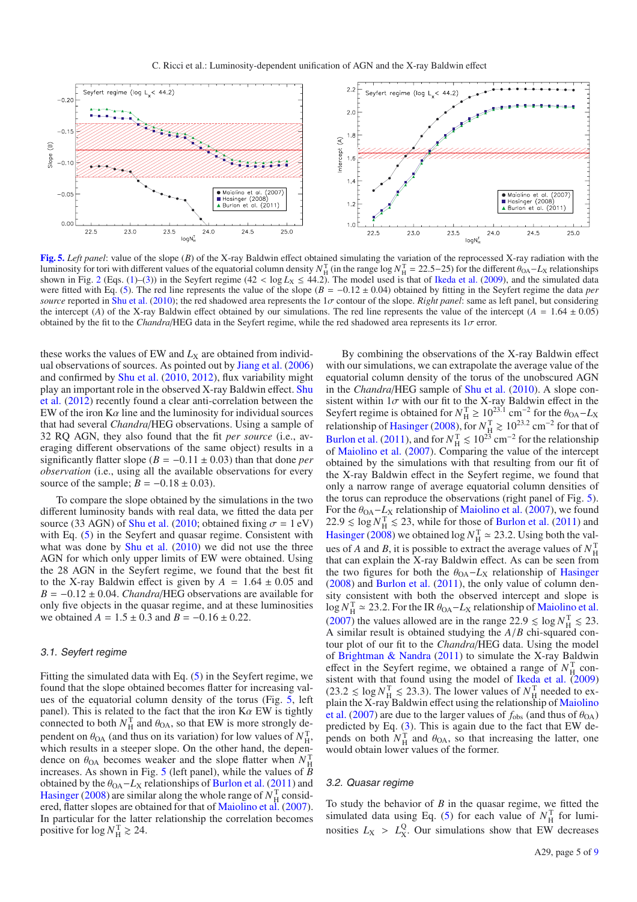

**[Fig. 5.](http://dexter.edpsciences.org/applet.php?DOI=10.1051/0004-6361/201220324&pdf_id=5)** *Left panel*: value of the slope (*B*) of the X-ray Baldwin effect obtained simulating the variation of the reprocessed X-ray radiation with the luminosity for tori with different values of the equatorial column density  $N_H^T$  (in the range log  $N_H^T = 22.5-25$ ) for the different  $\theta_{OA} - L_X$  relationships shown in Fig. 2 (Eqs. (1)–(3)) in the Seyfert regime (42 <  $\log L_X \le 44.2$ ). The model used is that of Ikeda et al. (2009), and the simulated data were fitted with Eq. (5). The red line represents the value of the slope (*B* = −0.12 ± 0.04) obtained by fitting in the Seyfert regime the data *per source* reported in Shu et al. (2010); the red shadowed area represents the 1σ contour of the slope. *Right panel*: same as left panel, but considering the intercept (*A*) of the X-ray Baldwin effect obtained by our simulations. The red line represents the value of the intercept ( $A = 1.64 \pm 0.05$ ) obtained by the fit to the *Chandra*/HEG data in the Seyfert regime, while the red shadowed area represents its 1σ error.

these works the values of EW and  $L_X$  are obtained from individual observations of sources. As pointed out by Jiang et al. (2006) and confirmed by Shu et al. (2010, 2012), flux variability might play an important role in the observed X-ray Baldwin effect. Shu et al. (2012) recently found a clear anti-correlation between the EW of the iron  $K\alpha$  line and the luminosity for individual sources that had several *Chandra*/HEG observations. Using a sample of 32 RQ AGN, they also found that the fit *per source* (i.e., averaging different observations of the same object) results in a significantly flatter slope ( $B = -0.11 \pm 0.03$ ) than that done *per observation* (i.e., using all the available observations for every source of the sample;  $B = -0.18 \pm 0.03$ ).

To compare the slope obtained by the simulations in the two different luminosity bands with real data, we fitted the data per source (33 AGN) of Shu et al. (2010; obtained fixing  $\sigma = 1$  eV) with Eq.  $(5)$  in the Seyfert and quasar regime. Consistent with what was done by Shu et al. (2010) we did not use the three AGN for which only upper limits of EW were obtained. Using the 28 AGN in the Seyfert regime, we found that the best fit to the X-ray Baldwin effect is given by  $A = 1.64 \pm 0.05$  and *B* = −0.12 ± 0.04. *Chandra*/HEG observations are available for only five objects in the quasar regime, and at these luminosities we obtained  $A = 1.5 \pm 0.3$  and  $B = -0.16 \pm 0.22$ .

#### 3.1. Seyfert regime

Fitting the simulated data with Eq. (5) in the Seyfert regime, we found that the slope obtained becomes flatter for increasing values of the equatorial column density of the torus (Fig. 5, left panel). This is related to the fact that the iron  $K\alpha$  EW is tightly connected to both  $N_{\rm H}^{\rm T}$  and  $\theta_{\rm OA}$ , so that EW is more strongly dependent on  $\theta_{OA}$  (and thus on its variation) for low values of  $N_{H}^{T}$ , which results in a steeper slope. On the other hand, the dependence on  $\theta_{OA}$  becomes weaker and the slope flatter when  $N_{\rm H}^{\rm T}$ increases. As shown in Fig. 5 (left panel), while the values of *B* obtained by the  $\theta_{OA}$ – $L_X$  relationships of Burlon et al. (2011) and Hasinger (2008) are similar along the whole range of  $N_H^T$  considered, flatter slopes are obtained for that of Maiolino et al. (2007). In particular for the latter relationship the correlation becomes positive for  $\log N_{\rm H}^{\rm T} \gtrsim 24$ .

By combining the observations of the X-ray Baldwin effect with our simulations, we can extrapolate the average value of the equatorial column density of the torus of the unobscured AGN in the *Chandra*/HEG sample of Shu et al. (2010). A slope consistent within  $1\sigma$  with our fit to the X-ray Baldwin effect in the Seyfert regime is obtained for  $N_H^T \ge 10^{23.1}$  cm<sup>-2</sup> for the  $\theta_{OA} - L_X$ relationship of Hasinger (2008), for  $N_{\rm H}^{\rm T} \gtrsim 10^{23.2}$  cm<sup>-2</sup> for that of Burlon et al. (2011), and for  $N_{\rm H}^{\rm T} \le 10^{23}$  cm<sup>-2</sup> for the relationship of Maiolino et al. (2007). Comparing the value of the intercept obtained by the simulations with that resulting from our fit of the X-ray Baldwin effect in the Seyfert regime, we found that only a narrow range of average equatorial column densities of the torus can reproduce the observations (right panel of Fig. 5). For the  $\theta_{OA}$ – $L_X$  relationship of Maiolino et al. (2007), we found  $22.9 \le \log N_{\rm H}^{\rm T} \le 23$ , while for those of Burlon et al. (2011) and Hasinger (2008) we obtained  $\log N_H^{\rm T} \simeq 23.2$ . Using both the values of *A* and *B*, it is possible to extract the average values of  $N_H^T$ that can explain the X-ray Baldwin effect. As can be seen from the two figures for both the  $θ<sub>OA</sub>−L<sub>X</sub>$  relationship of Hasinger (2008) and Burlon et al. (2011), the only value of column density consistent with both the observed intercept and slope is  $\log N_H^{\rm T} \simeq 23.2$ . For the IR  $\theta_{\rm OA} - L_{\rm X}$  relationship of Maiolino et al. (2007) the values allowed are in the range  $22.9 \le \log N_H^T \le 23$ . A similar result is obtained studying the *A*/*B* chi-squared contour plot of our fit to the *Chandra*/HEG data. Using the model of Brightman & Nandra (2011) to simulate the X-ray Baldwin effect in the Seyfert regime, we obtained a range of  $N_{\rm H}^{\rm T}$  consistent with that found using the model of Ikeda et al.  $(2009)$  $(23.2 \leq \log N_{\rm H}^{\rm T} \leq 23.3)$ . The lower values of  $N_{\rm H}^{\rm T}$  needed to explain the X-ray Baldwin effect using the relationship of Maiolino et al. (2007) are due to the larger values of  $f_{obs}$  (and thus of  $\theta_{OA}$ ) predicted by Eq. (3). This is again due to the fact that EW depends on both  $N_{\rm H}^{\rm T}$  and  $\theta_{\rm OA}$ , so that increasing the latter, one would obtain lower values of the former.

#### 3.2. Quasar regime

To study the behavior of *B* in the quasar regime, we fitted the simulated data using Eq. (5) for each value of  $N_{\rm H}^{\rm T}$  for luminosities  $L_X > L_X^Q$ . Our simulations show that EW decreases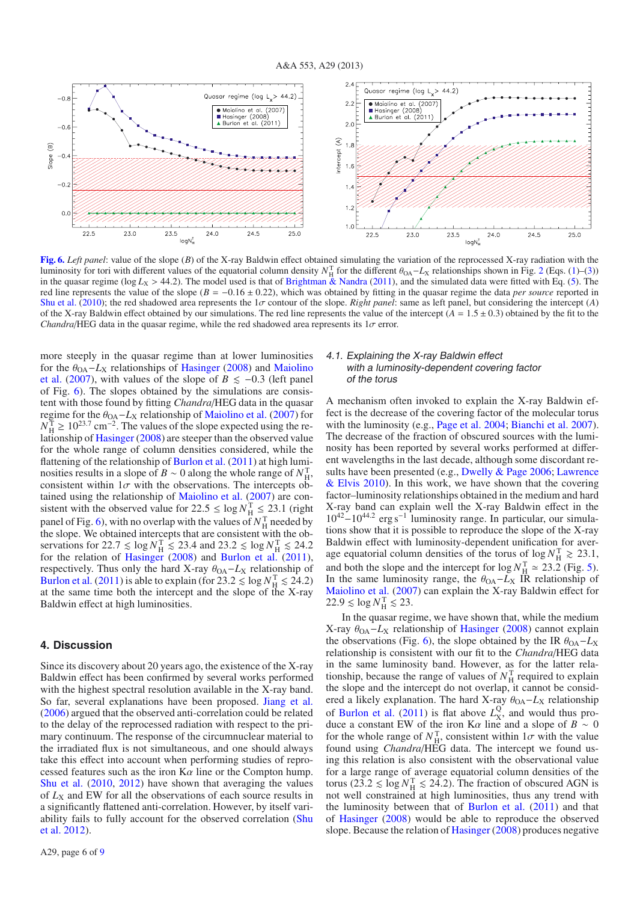

**[Fig. 6.](http://dexter.edpsciences.org/applet.php?DOI=10.1051/0004-6361/201220324&pdf_id=6)** *Left panel*: value of the slope (*B*) of the X-ray Baldwin effect obtained simulating the variation of the reprocessed X-ray radiation with the luminosity for tori with different values of the equatorial column density  $N_{\text{H}}^{\text{T}}$  for the different  $\theta_{\text{OA}}-L_{\text{X}}$  relationships shown in Fig. 2 (Eqs. (1)–(3)) in the quasar regime (log *L<sub>X</sub>* > 44.2). The model used is that of Brightman & Nandra (2011), and the simulated data were fitted with Eq. (5). The red line represents the value of the slope  $(B = -0.16 \pm 0.22)$ , which was obtained by fitting in the quasar regime the data *per source* reported in Shu et al. (2010); the red shadowed area represents the 1σ contour of the slope. *Right panel*: same as left panel, but considering the intercept (*A*) of the X-ray Baldwin effect obtained by our simulations. The red line represents the value of the intercept  $(A = 1.5 \pm 0.3)$  obtained by the fit to the *Chandra*/HEG data in the quasar regime, while the red shadowed area represents its  $1\sigma$  error.

more steeply in the quasar regime than at lower luminosities for the  $\theta_{OA}$ – $L_X$  relationships of Hasinger (2008) and Maiolino et al. (2007), with values of the slope of  $B \le -0.3$  (left panel of Fig. 6). The slopes obtained by the simulations are consistent with those found by fitting *Chandra*/HEG data in the quasar regime for the  $\theta_{OA} - L_X$  relationship of Maiolino et al. (2007) for  $N_H^T \ge 10^{23.7}$  cm<sup>-2</sup>. The values of the slope expected using the relationship of Hasinger (2008) are steeper than the observed value for the whole range of column densities considered, while the flattening of the relationship of Burlon et al. (2011) at high luminosities results in a slope of *B* ~ 0 along the whole range of  $N_{\text{H}}^{\text{T}}$ , consistent within  $1\sigma$  with the observations. The intercepts obtained using the relationship of Maiolino et al. (2007) are consistent with the observed value for  $22.5 \le \log N_H^{\text{T}} \le 23.1$  (right panel of Fig. 6), with no overlap with the values of  $N_H^T$  needed by the slope. We obtained intercepts that are consistent with the observations for  $22.7 \le \log N_H^{\text{T}} \le 23.4$  and  $23.2 \le \log N_H^{\text{T}} \le 24.2$ for the relation of Hasinger (2008) and Burlon et al. (2011), respectively. Thus only the hard X-ray  $\theta_{OA} - L_X$  relationship of Burlon et al. (2011) is able to explain (for  $23.2 \le \log N_H^T \le 24.2$ ) at the same time both the intercept and the slope of the X-ray Baldwin effect at high luminosities.

#### **4. Discussion**

Since its discovery about 20 years ago, the existence of the X-ray Baldwin effect has been confirmed by several works performed with the highest spectral resolution available in the X-ray band. So far, several explanations have been proposed. Jiang et al. (2006) argued that the observed anti-correlation could be related to the delay of the reprocessed radiation with respect to the primary continuum. The response of the circumnuclear material to the irradiated flux is not simultaneous, and one should always take this effect into account when performing studies of reprocessed features such as the iron  $K\alpha$  line or the Compton hump. Shu et al. (2010, 2012) have shown that averaging the values of  $L_X$  and EW for all the observations of each source results in a significantly flattened anti-correlation. However, by itself variability fails to fully account for the observed correlation (Shu et al. 2012).

#### 4.1. Explaining the X-ray Baldwin effect with <sup>a</sup> luminosity-dependent covering factor of the torus

A mechanism often invoked to explain the X-ray Baldwin effect is the decrease of the covering factor of the molecular torus with the luminosity (e.g., Page et al. 2004; Bianchi et al. 2007). The decrease of the fraction of obscured sources with the luminosity has been reported by several works performed at different wavelengths in the last decade, although some discordant results have been presented (e.g., Dwelly & Page 2006; Lawrence & Elvis 2010). In this work, we have shown that the covering factor–luminosity relationships obtained in the medium and hard X-ray band can explain well the X-ray Baldwin effect in the <sup>10</sup><sup>42</sup>−10<sup>44</sup>.<sup>2</sup> erg s−<sup>1</sup> luminosity range. In particular, our simulations show that it is possible to reproduce the slope of the X-ray Baldwin effect with luminosity-dependent unification for average equatorial column densities of the torus of  $\log N_{\rm H}^{\rm T} \gtrsim 23.1$ , and both the slope and the intercept for  $\log N_H^{\text{T}} \approx 23.2$  (Fig. 5). In the same luminosity range, the  $\theta_{OA} - L_X$  IR relationship of Maiolino et al. (2007) can explain the X-ray Baldwin effect for  $22.9 \lesssim \log N_{\rm H}^{\rm T} \lesssim 23.$ 

In the quasar regime, we have shown that, while the medium X-ray  $\theta_{OA}$ -*L*<sub>X</sub> relationship of Hasinger (2008) cannot explain the observations (Fig. 6), the slope obtained by the IR  $\theta_{OA} - L_X$ relationship is consistent with our fit to the *Chandra*/HEG data in the same luminosity band. However, as for the latter relationship, because the range of values of  $N_{\rm H}^{\rm T}$  required to explain the slope and the intercept do not overlap, it cannot be considered a likely explanation. The hard X-ray  $\theta_{OA} - L_X$  relationship of Burlon et al. (2011) is flat above  $L_X^Q$ , and would thus produce a constant EW of the iron K $\alpha$  line and a slope of *B* ~ 0 for the whole range of  $N_{\rm H}^{\rm T}$ , consistent within  $1\sigma$  with the value found using *Chandra*/HEG data. The intercept we found using this relation is also consistent with the observational value for a large range of average equatorial column densities of the torus (23.2  $\leq \log N_H^T \leq 24.2$ ). The fraction of obscured AGN is not well constrained at high luminosities, thus any trend with the luminosity between that of Burlon et al. (2011) and that of Hasinger (2008) would be able to reproduce the observed slope. Because the relation of Hasinger (2008) produces negative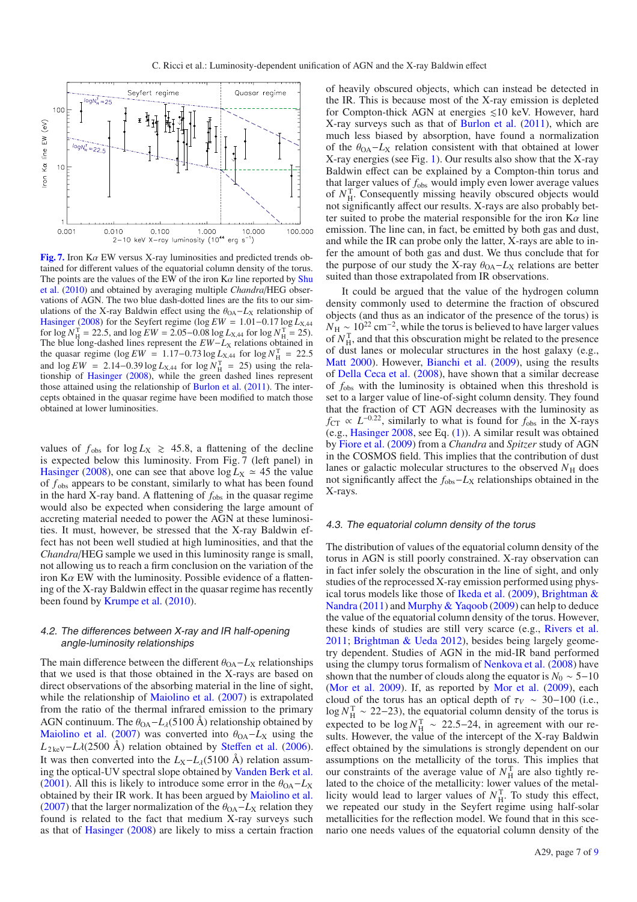

**[Fig. 7.](http://dexter.edpsciences.org/applet.php?DOI=10.1051/0004-6361/201220324&pdf_id=7)** Iron Kα EW versus X-ray luminosities and predicted trends obtained for different values of the equatorial column density of the torus. The points are the values of the EW of the iron  $K\alpha$  line reported by Shu et al. (2010) and obtained by averaging multiple *Chandra*/HEG observations of AGN. The two blue dash-dotted lines are the fits to our simulations of the X-ray Baldwin effect using the  $θ<sub>OA</sub>−L<sub>X</sub>$  relationship of Hasinger (2008) for the Seyfert regime (log *EW* = 1.01–0.17 log  $\hat{L}_{X,44}$ for  $\log N_H^T = 22.5$ , and  $\log EW = 2.05 - 0.08 \log L_{X,44}$  for  $\log N_H^T = 25$ . The blue long-dashed lines represent the *EW*−*L*<sub>X</sub> relations obtained in the quasar regime (log  $EW = 1.17 - 0.73 \log L_{X,44}$  for  $\log N_H^{\text{T}} = 22.5$ and  $\log EW = 2.14 - 0.39 \log L_{X,44}$  for  $\log N_H^T = 25$ ) using the relationship of Hasinger (2008), while the green dashed lines represent those attained using the relationship of Burlon et al. (2011). The intercepts obtained in the quasar regime have been modified to match those obtained at lower luminosities.

values of  $f_{obs}$  for  $log L_X \ge 45.8$ , a flattening of the decline is expected below this luminosity. From Fig. 7 (left panel) in Hasinger (2008), one can see that above  $\log L_X \approx 45$  the value of  $f_{obs}$  appears to be constant, similarly to what has been found in the hard X-ray band. A flattening of  $f_{obs}$  in the quasar regime would also be expected when considering the large amount of accreting material needed to power the AGN at these luminosities. It must, however, be stressed that the X-ray Baldwin effect has not been well studied at high luminosities, and that the *Chandra*/HEG sample we used in this luminosity range is small, not allowing us to reach a firm conclusion on the variation of the iron  $K\alpha$  EW with the luminosity. Possible evidence of a flattening of the X-ray Baldwin effect in the quasar regime has recently been found by Krumpe et al. (2010).

#### 4.2. The differences between X-ray and IR half-opening angle-luminosity relationships

The main difference between the different  $\theta_{OA} - L_X$  relationships that we used is that those obtained in the X-rays are based on direct observations of the absorbing material in the line of sight, while the relationship of Maiolino et al. (2007) is extrapolated from the ratio of the thermal infrared emission to the primary AGN continuum. The  $\theta_{OA} - L_{\lambda}(5100 \text{ Å})$  relationship obtained by Maiolino et al. (2007) was converted into  $\theta_{OA} - L_X$  using the  $L_{2 \text{keV}} - L\lambda(2500 \text{ Å})$  relation obtained by Steffen et al. (2006). It was then converted into the  $L_X - L_A(5100 \text{ Å})$  relation assuming the optical-UV spectral slope obtained by Vanden Berk et al. (2001). All this is likely to introduce some error in the  $\theta_{OA} - L_X$ obtained by their IR work. It has been argued by Maiolino et al. (2007) that the larger normalization of the  $\theta_{OA} - L_X$  relation they found is related to the fact that medium X-ray surveys such as that of Hasinger (2008) are likely to miss a certain fraction of heavily obscured objects, which can instead be detected in the IR. This is because most of the X-ray emission is depleted for Compton-thick AGN at energies  $\leq 10$  keV. However, hard X-ray surveys such as that of Burlon et al. (2011), which are much less biased by absorption, have found a normalization of the  $\theta_{OA}$ – $L_X$  relation consistent with that obtained at lower X-ray energies (see Fig. 1). Our results also show that the X-ray Baldwin effect can be explained by a Compton-thin torus and that larger values of  $f_{obs}$  would imply even lower average values of  $N_{\rm H}^{\rm T}$ . Consequently missing heavily obscured objects would not significantly affect our results. X-rays are also probably better suited to probe the material responsible for the iron  $K\alpha$  line emission. The line can, in fact, be emitted by both gas and dust, and while the IR can probe only the latter, X-rays are able to infer the amount of both gas and dust. We thus conclude that for the purpose of our study the X-ray  $\theta_{OA} - L_X$  relations are better suited than those extrapolated from IR observations.

It could be argued that the value of the hydrogen column density commonly used to determine the fraction of obscured objects (and thus as an indicator of the presence of the torus) is  $N_{\rm H} \sim 10^{22}$  cm<sup>-2</sup>, while the torus is believed to have larger values of  $N_H^T$ , and that this obscuration might be related to the presence of dust lanes or molecular structures in the host galaxy (e.g., Matt 2000). However, Bianchi et al. (2009), using the results of Della Ceca et al. (2008), have shown that a similar decrease of *f*obs with the luminosity is obtained when this threshold is set to a larger value of line-of-sight column density. They found that the fraction of CT AGN decreases with the luminosity as *f*CT  $\propto L^{-0.22}$ , similarly to what is found for *f*<sub>obs</sub> in the X-rays (e.g., Hasinger 2008, see Eq. (1)). A similar result was obtained by Fiore et al. (2009) from a *Chandra* and *Spitzer* study of AGN in the COSMOS field. This implies that the contribution of dust lanes or galactic molecular structures to the observed  $N_H$  does not significantly affect the *f*<sub>obs</sub>−*L*<sub>X</sub> relationships obtained in the X-rays.

#### 4.3. The equatorial column density of the torus

The distribution of values of the equatorial column density of the torus in AGN is still poorly constrained. X-ray observation can in fact infer solely the obscuration in the line of sight, and only studies of the reprocessed X-ray emission performed using physical torus models like those of Ikeda et al. (2009), Brightman & Nandra (2011) and Murphy & Yaqoob (2009) can help to deduce the value of the equatorial column density of the torus. However, these kinds of studies are still very scarce (e.g., Rivers et al. 2011; Brightman & Ueda 2012), besides being largely geometry dependent. Studies of AGN in the mid-IR band performed using the clumpy torus formalism of Nenkova et al. (2008) have shown that the number of clouds along the equator is  $N_0 \sim 5-10$ (Mor et al. 2009). If, as reported by Mor et al. (2009), each cloud of the torus has an optical depth of  $\tau_V \sim 30-100$  (i.e.,  $\log N_H^{\rm T} \sim 22-23$ ), the equatorial column density of the torus is expected to be  $\log N_{\text{H}}^{\text{T}} \sim 22.5-24$ , in agreement with our results. However, the value of the intercept of the X-ray Baldwin effect obtained by the simulations is strongly dependent on our assumptions on the metallicity of the torus. This implies that our constraints of the average value of  $N_{\rm H}^{\rm T}$  are also tightly related to the choice of the metallicity: lower values of the metallicity would lead to larger values of  $N_{\rm H}^{\rm T}$ . To study this effect, we repeated our study in the Seyfert regime using half-solar metallicities for the reflection model. We found that in this scenario one needs values of the equatorial column density of the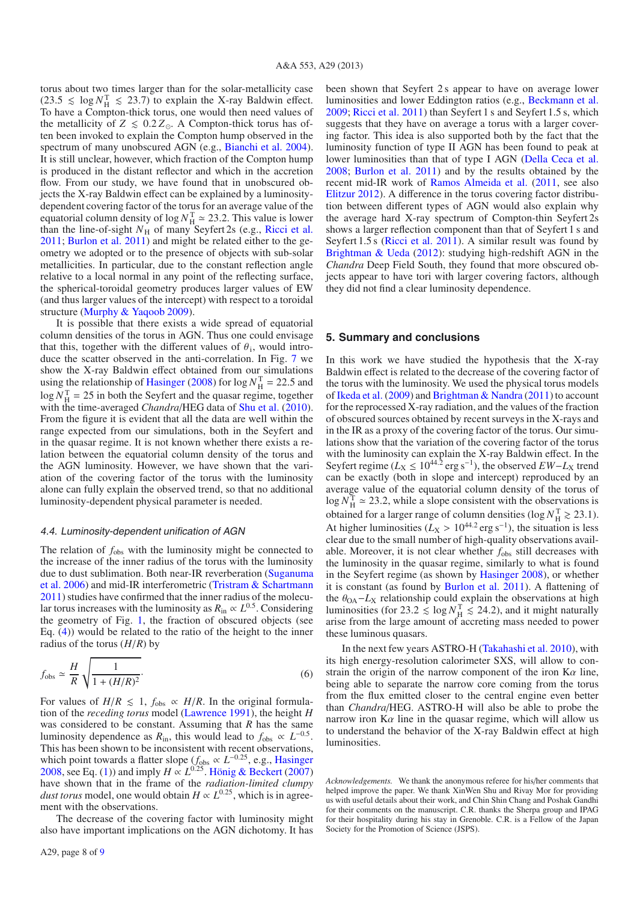torus about two times larger than for the solar-metallicity case  $(23.5 \leq \log N_H^T \leq 23.7)$  to explain the X-ray Baldwin effect. To have a Compton-thick torus, one would then need values of the metallicity of  $Z \leq 0.2 Z_{\odot}$ . A Compton-thick torus has often been invoked to explain the Compton hump observed in the spectrum of many unobscured AGN (e.g., Bianchi et al. 2004). It is still unclear, however, which fraction of the Compton hump is produced in the distant reflector and which in the accretion flow. From our study, we have found that in unobscured objects the X-ray Baldwin effect can be explained by a luminositydependent covering factor of the torus for an average value of the equatorial column density of  $\log N_{\text{H}}^{\text{T}} \approx 23.2$ . This value is lower than the line-of-sight  $N_H$  of many Seyfert 2s (e.g., Ricci et al. 2011; Burlon et al. 2011) and might be related either to the geometry we adopted or to the presence of objects with sub-solar metallicities. In particular, due to the constant reflection angle relative to a local normal in any point of the reflecting surface, the spherical-toroidal geometry produces larger values of EW (and thus larger values of the intercept) with respect to a toroidal structure (Murphy & Yaqoob 2009).

It is possible that there exists a wide spread of equatorial column densities of the torus in AGN. Thus one could envisage that this, together with the different values of  $\theta_i$ , would introduce the scatter observed in the anti-correlation. In Fig. 7 we show the X-ray Baldwin effect obtained from our simulations using the relationship of Hasinger (2008) for  $\log N_H^{\text{T}} = 22.5$  and  $\log N_H^{\text{T}} = 25$  in both the Seyfert and the quasar regime, together with the time-averaged *Chandra*/HEG data of Shu et al. (2010). From the figure it is evident that all the data are well within the range expected from our simulations, both in the Seyfert and in the quasar regime. It is not known whether there exists a relation between the equatorial column density of the torus and the AGN luminosity. However, we have shown that the variation of the covering factor of the torus with the luminosity alone can fully explain the observed trend, so that no additional luminosity-dependent physical parameter is needed.

#### 4.4. Luminosity-dependent unification of AGN

The relation of  $f_{obs}$  with the luminosity might be connected to the increase of the inner radius of the torus with the luminosity due to dust sublimation. Both near-IR reverberation (Suganuma et al. 2006) and mid-IR interferometric (Tristram & Schartmann 2011) studies have confirmed that the inner radius of the molecular torus increases with the luminosity as  $R_{\text{in}} \propto L^{0.5}$ . Considering the geometry of Fig. 1, the fraction of obscured objects (see Eq. (4)) would be related to the ratio of the height to the inner radius of the torus (*H*/*R*) by

$$
f_{\text{obs}} \simeq \frac{H}{R} \sqrt{\frac{1}{1 + (H/R)^2}}.
$$
 (6)

For values of  $H/R \le 1$ ,  $f_{obs} \propto H/R$ . In the original formulation of the *receding torus* model (Lawrence 1991), the height *H* was considered to be constant. Assuming that *R* has the same luminosity dependence as  $R_{\text{in}}$ , this would lead to  $f_{\text{obs}} \propto L^{-0.5}$ . This has been shown to be inconsistent with recent observations, which point towards a flatter slope (*f*obs <sup>∝</sup> *<sup>L</sup>*−0.25, e.g., Hasinger 2008, see Eq. (1)) and imply *<sup>H</sup>* <sup>∝</sup> *<sup>L</sup>*<sup>0</sup>.25. Hönig & Beckert (2007) have shown that in the frame of the *radiation-limited clumpy dust torus* model, one would obtain  $H \propto L^{0.25}$ , which is in agreement with the observations.

The decrease of the covering factor with luminosity might also have important implications on the AGN dichotomy. It has been shown that Seyfert 2 s appear to have on average lower luminosities and lower Eddington ratios (e.g., Beckmann et al. 2009; Ricci et al. 2011) than Seyfert 1 s and Seyfert 1.5 s, which suggests that they have on average a torus with a larger covering factor. This idea is also supported both by the fact that the luminosity function of type II AGN has been found to peak at lower luminosities than that of type I AGN (Della Ceca et al. 2008; Burlon et al. 2011) and by the results obtained by the recent mid-IR work of Ramos Almeida et al. (2011, see also Elitzur 2012). A difference in the torus covering factor distribution between different types of AGN would also explain why the average hard X-ray spectrum of Compton-thin Seyfert 2s shows a larger reflection component than that of Seyfert 1 s and Seyfert 1.5 s (Ricci et al. 2011). A similar result was found by Brightman & Ueda (2012): studying high-redshift AGN in the *Chandra* Deep Field South, they found that more obscured objects appear to have tori with larger covering factors, although they did not find a clear luminosity dependence.

#### **5. Summary and conclusions**

In this work we have studied the hypothesis that the X-ray Baldwin effect is related to the decrease of the covering factor of the torus with the luminosity. We used the physical torus models of Ikeda et al. (2009) and Brightman & Nandra (2011) to account for the reprocessed X-ray radiation, and the values of the fraction of obscured sources obtained by recent surveys in the X-rays and in the IR as a proxy of the covering factor of the torus. Our simulations show that the variation of the covering factor of the torus with the luminosity can explain the X-ray Baldwin effect. In the Seyfert regime ( $L_X \le 10^{44.2}$  erg s<sup>-1</sup>), the observed  $EW - L_X$  trend can be exactly (both in slope and intercept) reproduced by an average value of the equatorial column density of the torus of  $\log N_H^{\rm T} \simeq 23.2$ , while a slope consistent with the observations is obtained for a larger range of column densities ( $log N_H^T \ge 23.1$ ). At higher luminosities ( $L_X > 10^{44.2}$  erg s<sup>-1</sup>), the situation is less clear due to the small number of high-quality observations available. Moreover, it is not clear whether  $f_{obs}$  still decreases with the luminosity in the quasar regime, similarly to what is found in the Seyfert regime (as shown by Hasinger 2008), or whether it is constant (as found by Burlon et al. 2011). A flattening of the  $\theta_{OA}$ -*L*<sub>X</sub> relationship could explain the observations at high luminosities (for 23.2  $\leq \log N_H^T \leq 24.2$ ), and it might naturally arise from the large amount of accreting mass needed to power these luminous quasars.

In the next few years ASTRO-H (Takahashi et al. 2010), with its high energy-resolution calorimeter SXS, will allow to constrain the origin of the narrow component of the iron  $K\alpha$  line, being able to separate the narrow core coming from the torus from the flux emitted closer to the central engine even better than *Chandra*/HEG. ASTRO-H will also be able to probe the narrow iron  $K\alpha$  line in the quasar regime, which will allow us to understand the behavior of the X-ray Baldwin effect at high luminosities.

*Acknowledgements.* We thank the anonymous referee for his/her comments that helped improve the paper. We thank XinWen Shu and Rivay Mor for providing us with useful details about their work, and Chin Shin Chang and Poshak Gandhi for their comments on the manuscript. C.R. thanks the Sherpa group and IPAG for their hospitality during his stay in Grenoble. C.R. is a Fellow of the Japan Society for the Promotion of Science (JSPS).